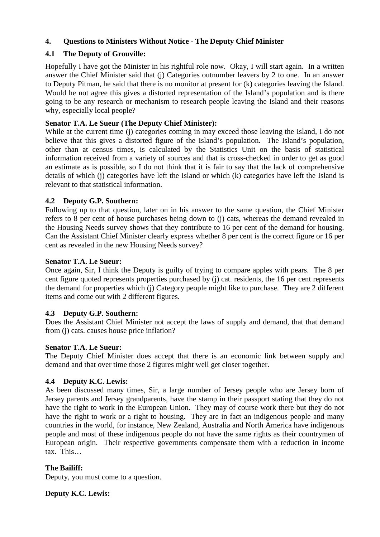# **4. Questions to Ministers Without Notice - The Deputy Chief Minister**

# **4.1 The Deputy of Grouville:**

Hopefully I have got the Minister in his rightful role now. Okay, I will start again. In a written answer the Chief Minister said that (j) Categories outnumber leavers by 2 to one. In an answer to Deputy Pitman, he said that there is no monitor at present for (k) categories leaving the Island. Would he not agree this gives a distorted representation of the Island's population and is there going to be any research or mechanism to research people leaving the Island and their reasons why, especially local people?

# **Senator T.A. Le Sueur (The Deputy Chief Minister):**

While at the current time (j) categories coming in may exceed those leaving the Island, I do not believe that this gives a distorted figure of the Island's population. The Island's population, other than at census times, is calculated by the Statistics Unit on the basis of statistical information received from a variety of sources and that is cross-checked in order to get as good an estimate as is possible, so I do not think that it is fair to say that the lack of comprehensive details of which (j) categories have left the Island or which (k) categories have left the Island is relevant to that statistical information.

# **4.2 Deputy G.P. Southern:**

Following up to that question, later on in his answer to the same question, the Chief Minister refers to 8 per cent of house purchases being down to (j) cats, whereas the demand revealed in the Housing Needs survey shows that they contribute to 16 per cent of the demand for housing. Can the Assistant Chief Minister clearly express whether 8 per cent is the correct figure or 16 per cent as revealed in the new Housing Needs survey?

# **Senator T.A. Le Sueur:**

Once again, Sir, I think the Deputy is guilty of trying to compare apples with pears. The 8 per cent figure quoted represents properties purchased by (j) cat. residents, the 16 per cent represents the demand for properties which (j) Category people might like to purchase. They are 2 different items and come out with 2 different figures.

# **4.3 Deputy G.P. Southern:**

Does the Assistant Chief Minister not accept the laws of supply and demand, that that demand from (j) cats. causes house price inflation?

# **Senator T.A. Le Sueur:**

The Deputy Chief Minister does accept that there is an economic link between supply and demand and that over time those 2 figures might well get closer together.

# **4.4 Deputy K.C. Lewis:**

As been discussed many times, Sir, a large number of Jersey people who are Jersey born of Jersey parents and Jersey grandparents, have the stamp in their passport stating that they do not have the right to work in the European Union. They may of course work there but they do not have the right to work or a right to housing. They are in fact an indigenous people and many countries in the world, for instance, New Zealand, Australia and North America have indigenous people and most of these indigenous people do not have the same rights as their countrymen of European origin. Their respective governments compensate them with a reduction in income tax. This…

# **The Bailiff:**

Deputy, you must come to a question.

**Deputy K.C. Lewis:**